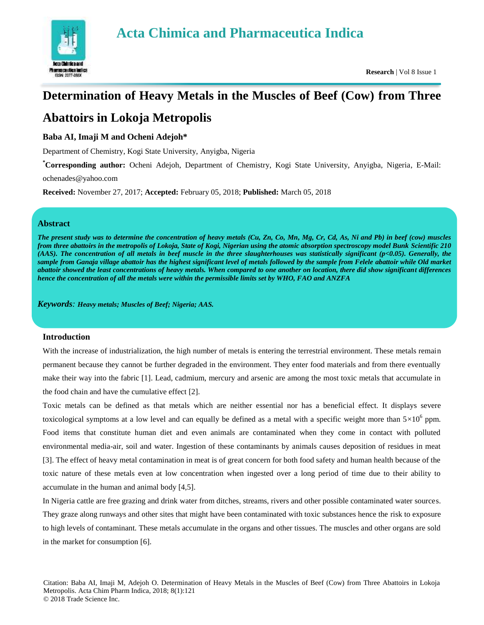

# **Determination of Heavy Metals in the Muscles of Beef (Cow) from Three**

# **Abattoirs in Lokoja Metropolis**

# **Baba AI, Imaji M and Ocheni Adejoh\***

Department of Chemistry, Kogi State University, Anyigba, Nigeria

**\*Corresponding author:** Ocheni Adejoh, Department of Chemistry, Kogi State University, Anyigba, Nigeria, E-Mail: ochenades@yahoo.com

**Received:** November 27, 2017; **Accepted:** February 05, 2018; **Published:** March 05, 2018

# **Abstract**

*The present study was to determine the concentration of heavy metals (Cu, Zn, Co, Mn, Mg, Cr, Cd, As, Ni and Pb) in beef (cow) muscles from three abattoirs in the metropolis of Lokoja, State of Kogi, Nigerian using the atomic absorption spectroscopy model Bunk Scientific 210 (AAS). The concentration of all metals in beef muscle in the three slaughterhouses was statistically significant (p<0.05). Generally, the sample from Ganaja village abattoir has the highest significant level of metals followed by the sample from Felele abattoir while Old market abattoir showed the least concentrations of heavy metals. When compared to one another on location, there did show significant differences hence the concentration of all the metals were within the permissible limits set by WHO, FAO and ANZFA*

*Keywords: Heavy metals; Muscles of Beef; Nigeria; AAS.*

# **Introduction**

With the increase of industrialization, the high number of metals is entering the terrestrial environment. These metals remain permanent because they cannot be further degraded in the environment. They enter food materials and from there eventually make their way into the fabric [1]. Lead, cadmium, mercury and arsenic are among the most toxic metals that accumulate in the food chain and have the cumulative effect [2].

Toxic metals can be defined as that metals which are neither essential nor has a beneficial effect. It displays severe toxicological symptoms at a low level and can equally be defined as a metal with a specific weight more than  $5\times10^6$  ppm. Food items that constitute human diet and even animals are contaminated when they come in contact with polluted environmental media-air, soil and water. Ingestion of these contaminants by animals causes deposition of residues in meat [3]. The effect of heavy metal contamination in meat is of great concern for both food safety and human health because of the toxic nature of these metals even at low concentration when ingested over a long period of time due to their ability to accumulate in the human and animal body [4,5].

In Nigeria cattle are free grazing and drink water from ditches, streams, rivers and other possible contaminated water sources. They graze along runways and other sites that might have been contaminated with toxic substances hence the risk to exposure to high levels of contaminant. These metals accumulate in the organs and other tissues. The muscles and other organs are sold in the market for consumption [6].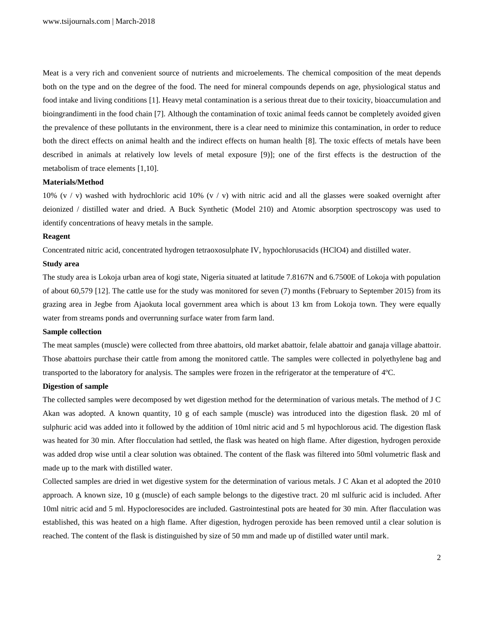Meat is a very rich and convenient source of nutrients and microelements. The chemical composition of the meat depends both on the type and on the degree of the food. The need for mineral compounds depends on age, physiological status and food intake and living conditions [1]. Heavy metal contamination is a serious threat due to their toxicity, bioaccumulation and bioingrandimenti in the food chain [7]. Although the contamination of toxic animal feeds cannot be completely avoided given the prevalence of these pollutants in the environment, there is a clear need to minimize this contamination, in order to reduce both the direct effects on animal health and the indirect effects on human health [8]. The toxic effects of metals have been described in animals at relatively low levels of metal exposure [9)]; one of the first effects is the destruction of the metabolism of trace elements [1,10].

# **Materials/Method**

10% (v / v) washed with hydrochloric acid 10% (v / v) with nitric acid and all the glasses were soaked overnight after deionized / distilled water and dried. A Buck Synthetic (Model 210) and Atomic absorption spectroscopy was used to identify concentrations of heavy metals in the sample.

#### **Reagent**

Concentrated nitric acid, concentrated hydrogen tetraoxosulphate IV, hypochlorusacids (HClO4) and distilled water.

#### **Study area**

The study area is Lokoja urban area of kogi state, Nigeria situated at latitude 7.8167N and 6.7500E of Lokoja with population of about 60,579 [12]. The cattle use for the study was monitored for seven (7) months (February to September 2015) from its grazing area in Jegbe from Ajaokuta local government area which is about 13 km from Lokoja town. They were equally water from streams ponds and overrunning surface water from farm land.

#### **Sample collection**

The meat samples (muscle) were collected from three abattoirs, old market abattoir, felale abattoir and ganaja village abattoir. Those abattoirs purchase their cattle from among the monitored cattle. The samples were collected in polyethylene bag and transported to the laboratory for analysis. The samples were frozen in the refrigerator at the temperature of 4ºC.

#### **Digestion of sample**

The collected samples were decomposed by wet digestion method for the determination of various metals. The method of J C Akan was adopted. A known quantity, 10 g of each sample (muscle) was introduced into the digestion flask. 20 ml of sulphuric acid was added into it followed by the addition of 10ml nitric acid and 5 ml hypochlorous acid. The digestion flask was heated for 30 min. After flocculation had settled, the flask was heated on high flame. After digestion, hydrogen peroxide was added drop wise until a clear solution was obtained. The content of the flask was filtered into 50ml volumetric flask and made up to the mark with distilled water.

Collected samples are dried in wet digestive system for the determination of various metals. J C Akan et al adopted the 2010 approach. A known size, 10 g (muscle) of each sample belongs to the digestive tract. 20 ml sulfuric acid is included. After 10ml nitric acid and 5 ml. Hypocloresocides are included. Gastrointestinal pots are heated for 30 min. After flacculation was established, this was heated on a high flame. After digestion, hydrogen peroxide has been removed until a clear solution is reached. The content of the flask is distinguished by size of 50 mm and made up of distilled water until mark.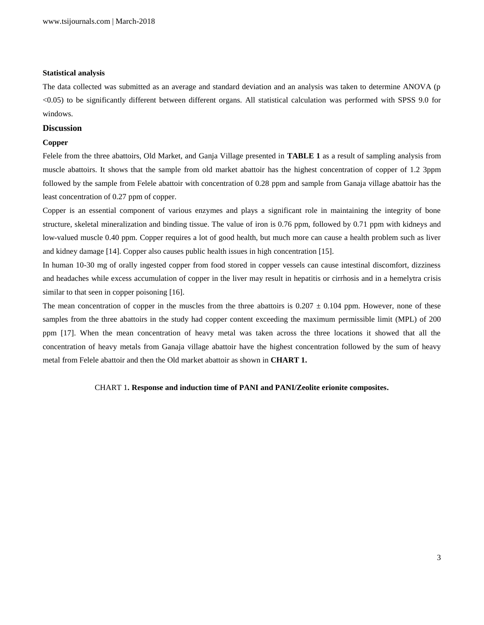#### **Statistical analysis**

The data collected was submitted as an average and standard deviation and an analysis was taken to determine ANOVA (p <0.05) to be significantly different between different organs. All statistical calculation was performed with SPSS 9.0 for windows.

#### **Discussion**

# **Copper**

Felele from the three abattoirs, Old Market, and Ganja Village presented in **TABLE 1** as a result of sampling analysis from muscle abattoirs. It shows that the sample from old market abattoir has the highest concentration of copper of 1.2 3ppm followed by the sample from Felele abattoir with concentration of 0.28 ppm and sample from Ganaja village abattoir has the least concentration of 0.27 ppm of copper.

Copper is an essential component of various enzymes and plays a significant role in maintaining the integrity of bone structure, skeletal mineralization and binding tissue. The value of iron is 0.76 ppm, followed by 0.71 ppm with kidneys and low-valued muscle 0.40 ppm. Copper requires a lot of good health, but much more can cause a health problem such as liver and kidney damage [14]. Copper also causes public health issues in high concentration [15].

In human 10-30 mg of orally ingested copper from food stored in copper vessels can cause intestinal discomfort, dizziness and headaches while excess accumulation of copper in the liver may result in hepatitis or cirrhosis and in a hemelytra crisis similar to that seen in copper poisoning [16].

The mean concentration of copper in the muscles from the three abattoirs is  $0.207 \pm 0.104$  ppm. However, none of these samples from the three abattoirs in the study had copper content exceeding the maximum permissible limit (MPL) of 200 ppm [17]. When the mean concentration of heavy metal was taken across the three locations it showed that all the concentration of heavy metals from Ganaja village abattoir have the highest concentration followed by the sum of heavy metal from Felele abattoir and then the Old market abattoir as shown in **CHART 1.**

#### CHART 1**. Response and induction time of PANI and PANI/Zeolite erionite composites.**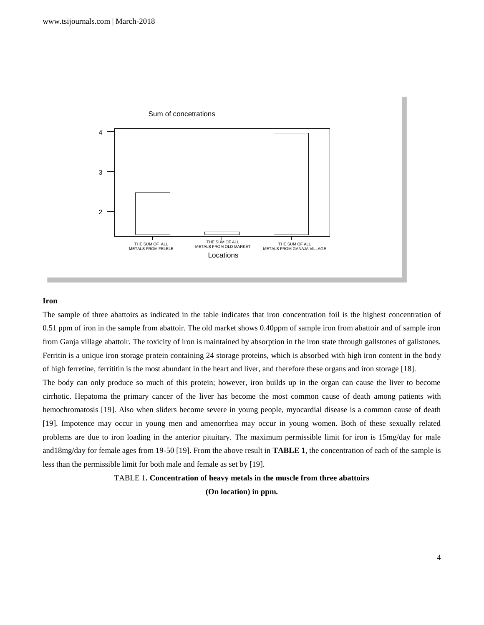

# **Iron**

The sample of three abattoirs as indicated in the table indicates that iron concentration foil is the highest concentration of 0.51 ppm of iron in the sample from abattoir. The old market shows 0.40ppm of sample iron from abattoir and of sample iron from Ganja village abattoir. The toxicity of iron is maintained by absorption in the iron state through gallstones of gallstones. Ferritin is a unique iron storage protein containing 24 storage proteins, which is absorbed with high iron content in the body of high ferretine, ferrititin is the most abundant in the heart and liver, and therefore these organs and iron storage [18].

The body can only produce so much of this protein; however, iron builds up in the organ can cause the liver to become cirrhotic. Hepatoma the primary cancer of the liver has become the most common cause of death among patients with hemochromatosis [19]. Also when sliders become severe in young people, myocardial disease is a common cause of death [19]. Impotence may occur in young men and amenorrhea may occur in young women. Both of these sexually related problems are due to iron loading in the anterior pituitary. The maximum permissible limit for iron is 15mg/day for male and18mg/day for female ages from 19-50 [19]. From the above result in **TABLE 1**, the concentration of each of the sample is less than the permissible limit for both male and female as set by [19].

# TABLE 1**. Concentration of heavy metals in the muscle from three abattoirs (On location) in ppm.**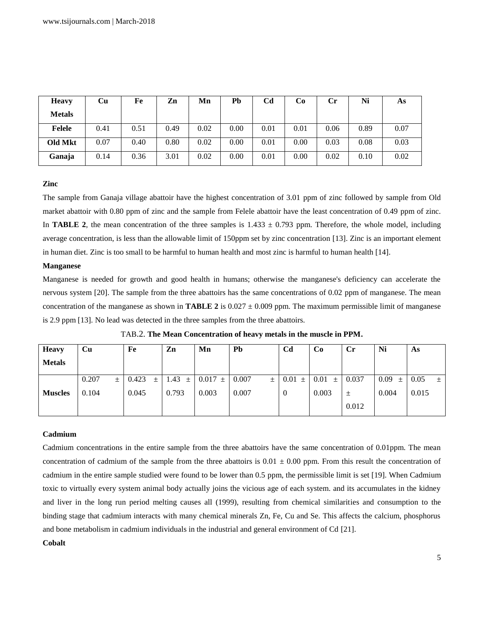| <b>Heavy</b>  | Cu   | Fe   | Zn   | Mn   | <b>Pb</b> | Cd   | Co   | Сr   | Ni   | As   |
|---------------|------|------|------|------|-----------|------|------|------|------|------|
| <b>Metals</b> |      |      |      |      |           |      |      |      |      |      |
| Felele        | 0.41 | 0.51 | 0.49 | 0.02 | 0.00      | 0.01 | 0.01 | 0.06 | 0.89 | 0.07 |
| Old Mkt       | 0.07 | 0.40 | 0.80 | 0.02 | 0.00      | 0.01 | 0.00 | 0.03 | 0.08 | 0.03 |
| Ganaja        | 0.14 | 0.36 | 3.01 | 0.02 | 0.00      | 0.01 | 0.00 | 0.02 | 0.10 | 0.02 |

## **Zinc**

The sample from Ganaja village abattoir have the highest concentration of 3.01 ppm of zinc followed by sample from Old market abattoir with 0.80 ppm of zinc and the sample from Felele abattoir have the least concentration of 0.49 ppm of zinc. In **TABLE 2**, the mean concentration of the three samples is  $1.433 \pm 0.793$  ppm. Therefore, the whole model, including average concentration, is less than the allowable limit of 150ppm set by zinc concentration [13]. Zinc is an important element in human diet. Zinc is too small to be harmful to human health and most zinc is harmful to human health [14].

#### **Manganese**

Manganese is needed for growth and good health in humans; otherwise the manganese's deficiency can accelerate the nervous system [20]. The sample from the three abattoirs has the same concentrations of 0.02 ppm of manganese. The mean concentration of the manganese as shown in **TABLE 2** is  $0.027 \pm 0.009$  ppm. The maximum permissible limit of manganese is 2.9 ppm [13]. No lead was detected in the three samples from the three abattoirs.

| <b>Heavy</b>   | Cu         | Fe             | Zn            | Mn          | Pb         | C <sub>d</sub> | Co        | $C_{r}$ | Ni        | As               |
|----------------|------------|----------------|---------------|-------------|------------|----------------|-----------|---------|-----------|------------------|
| <b>Metals</b>  |            |                |               |             |            |                |           |         |           |                  |
|                | 0.207<br>土 | 0.423<br>$\pm$ | 1.43<br>$\pm$ | $0.017 \pm$ | 0.007<br>士 | 0.01<br>$\pm$  | 0.01<br>土 | 0.037   | 0.09<br>土 | 0.05<br>$_{\pm}$ |
| <b>Muscles</b> | 0.104      | 0.045          | 0.793         | 0.003       | 0.007      | 0              | 0.003     | 土       | 0.004     | 0.015            |
|                |            |                |               |             |            |                |           | 0.012   |           |                  |

TAB.2. **The Mean Concentration of heavy metals in the muscle in PPM.**

# **Cadmium**

Cadmium concentrations in the entire sample from the three abattoirs have the same concentration of 0.01ppm. The mean concentration of cadmium of the sample from the three abattoirs is  $0.01 \pm 0.00$  ppm. From this result the concentration of cadmium in the entire sample studied were found to be lower than 0.5 ppm, the permissible limit is set [19]. When Cadmium toxic to virtually every system animal body actually joins the vicious age of each system. and its accumulates in the kidney and liver in the long run period melting causes all (1999), resulting from chemical similarities and consumption to the binding stage that cadmium interacts with many chemical minerals Zn, Fe, Cu and Se. This affects the calcium, phosphorus and bone metabolism in cadmium individuals in the industrial and general environment of Cd [21].

**Cobalt**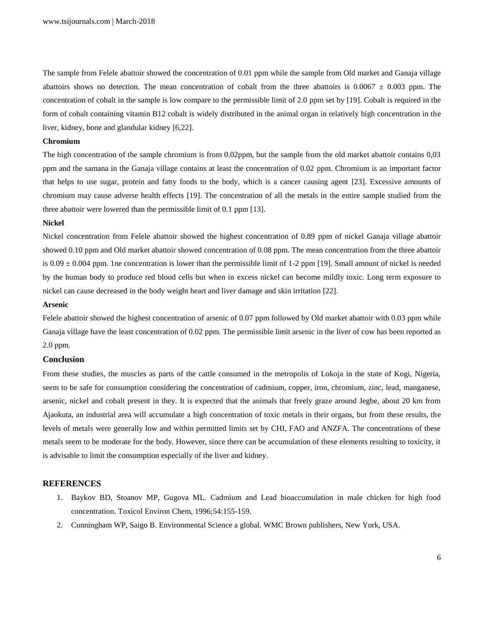The sample from Felele abattoir showed the concentration of 0.01 ppm while the sample from Old market and Ganaja village abattoirs shows no detection. The mean concentration of cobalt from the three abattoirs is  $0.0067 \pm 0.003$  ppm. The concentration of cobalt in the sample is low compare to the permissible limit of 2.0 ppm set by [19]. Cobalt is required in the form of cobalt containing vitamin B12 cobalt is widely distributed in the animal organ in relatively high concentration in the liver, kidney, bone and glandular kidney [6,22].

#### **Chromium**

The high concentration of the sample chromium is from 0.02ppm, but the sample from the old market abattoir contains 0,03 ppm and the samana in the Ganaja village contains at least the concentration of 0.02 ppm. Chromium is an important factor that helps to use sugar, protein and fatty foods to the body, which is a cancer causing agent [23]. Excessive amounts of chromium may cause adverse health effects [19]. The concentration of all the metals in the entire sample studied from the three abattoir were lowered than the permissible limit of 0.1 ppm [13].

#### **Nickel**

Nickel concentration from Felele abattoir showed the highest concentration of 0.89 ppm of nickel Ganaja village abattoir showed 0.10 ppm and Old market abattoir showed concentration of 0.08 ppm. The mean concentration from the three abattoir is  $0.09 \pm 0.004$  ppm. 1ne concentration is lower than the permissible limit of 1-2 ppm [19]. Small amount of nickel is needed by the human body to produce red blood cells but when in excess nickel can become mildly toxic. Long term exposure to nickel can cause decreased in the body weight heart and liver damage and skin irritation [22].

#### **Arsenic**

Felele abattoir showed the highest concentration of arsenic of 0.07 ppm followed by Old market abattoir with 0.03 ppm while Ganaja village have the least concentration of 0.02 ppm. The permissible limit arsenic in the liver of cow has been reported as 2.0 ppm.

## **Conclusion**

From these studies, the muscles as parts of the cattle consumed in the metropolis of Lokoja in the state of Kogi, Nigeria, seem to be safe for consumption considering the concentration of cadmium, copper, iron, chromium, zinc, lead, manganese, arsenic, nickel and cobalt present in they. It is expected that the animals that freely graze around Jegbe, about 20 km from Ajaokuta, an industrial area will accumulate a high concentration of toxic metals in their organs, but from these results, the levels of metals were generally low and within permitted limits set by CHI, FAO and ANZFA. The concentrations of these metals seem to be moderate for the body. However, since there can be accumulation of these elements resulting to toxicity, it is advisable to limit the consumption especially of the liver and kidney.

#### **REFERENCES**

- 1. Baykov BD, Stoanov MP, Gugova ML. Cadmium and Lead bioaccumulation in male chicken for high food concentration. Toxicol Environ Chem, 1996;54:155-159.
- 2. Cunningham WP, Saigo B. Environmental Science a global. WMC Brown publishers, New York, USA.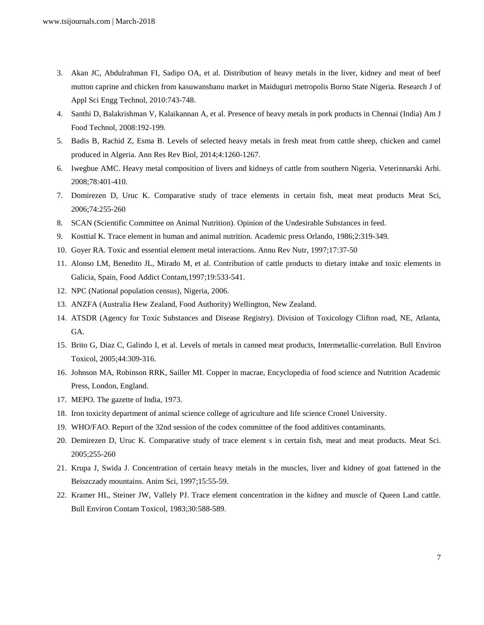- 3. Akan JC, Abdulrahman FI, Sadipo OA, et al. Distribution of heavy metals in the liver, kidney and meat of beef mutton caprine and chicken from kasuwanshanu market in Maiduguri metropolis Borno State Nigeria. Research J of Appl Sci Engg Technol, 2010:743-748.
- 4. Santhi D, Balakrishman V, Kalaikannan A, et al. Presence of heavy metals in pork products in Chennai (India) Am J Food Technol, 2008:192-199.
- 5. Badis B, Rachid Z, Esma B. Levels of selected heavy metals in fresh meat from cattle sheep, chicken and camel produced in Algeria. Ann Res Rev Biol, 2014;4:1260-1267.
- 6. Iwegbue AMC. Heavy metal composition of livers and kidneys of cattle from southern Nigeria. Veterinnarski Arhi. 2008;78:401-410.
- 7. Domirezen D, Uruc K. Comparative study of trace elements in certain fish, meat meat products Meat Sci, 2006;74:255-260
- 8. SCAN (Scientific Committee on Animal Nutrition). Opinion of the Undesirable Substances in feed.
- 9. Kosttial K. Trace element in human and animal nutrition. Academic press Orlando, 1986;2:319-349.
- 10. Goyer RA. Toxic and essential element metal interactions. Annu Rev Nutr, 1997;17:37-50
- 11. Alonso LM, Benedito JL, Mirado M, et al. Contribution of cattle products to dietary intake and toxic elements in Galicia, Spain, Food Addict Contam,1997;19:533-541.
- 12. NPC (National population census), Nigeria, 2006.
- 13. ANZFA (Australia Hew Zealand, Food Authority) Wellington, New Zealand.
- 14. ATSDR (Agency for Toxic Substances and Disease Registry). Division of Toxicology Clifton road, NE, Atlanta, GA.
- 15. Brito G, Diaz C, Galindo I, et al. Levels of metals in canned meat products, Intermetallic-correlation. Bull Environ Toxicol, 2005;44:309-316.
- 16. Johnson MA, Robinson RRK, Sailler MI. Copper in macrae, Encyclopedia of food science and Nutrition Academic Press, London, England.
- 17. MEPO. The gazette of India, 1973.
- 18. Iron toxicity department of animal science college of agriculture and life science Cronel University.
- 19. WHO/FAO. Report of the 32nd session of the codex committee of the food additives contaminants.
- 20. Demirezen D, Uruc K. Comparative study of trace element s in certain fish, meat and meat products. Meat Sci. 2005;255-260
- 21. Krupa J, Swida J. Concentration of certain heavy metals in the muscles, liver and kidney of goat fattened in the Beiszczady mountains. Anim Sci, 1997;15:55-59.
- 22. Kramer HL, Steiner JW, Vallely PJ. Trace element concentration in the kidney and muscle of Queen Land cattle. Bull Environ Contam Toxicol, 1983;30:588-589.